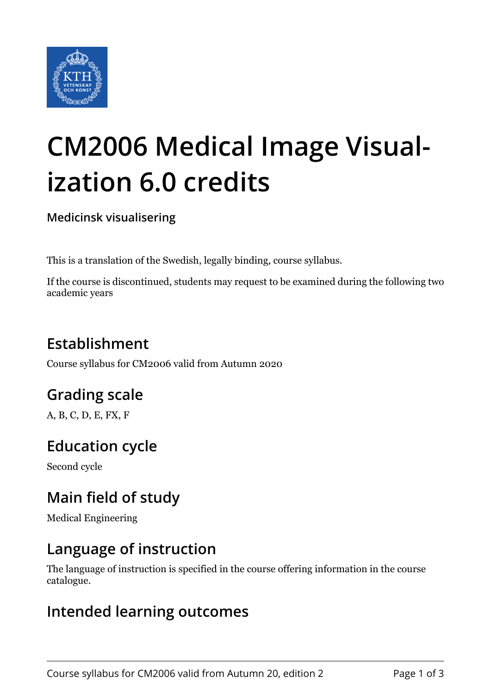

# **CM2006 Medical Image Visualization 6.0 credits**

**Medicinsk visualisering**

This is a translation of the Swedish, legally binding, course syllabus.

If the course is discontinued, students may request to be examined during the following two academic years

# **Establishment**

Course syllabus for CM2006 valid from Autumn 2020

## **Grading scale**

A, B, C, D, E, FX, F

## **Education cycle**

Second cycle

## **Main field of study**

Medical Engineering

#### **Language of instruction**

The language of instruction is specified in the course offering information in the course catalogue.

#### **Intended learning outcomes**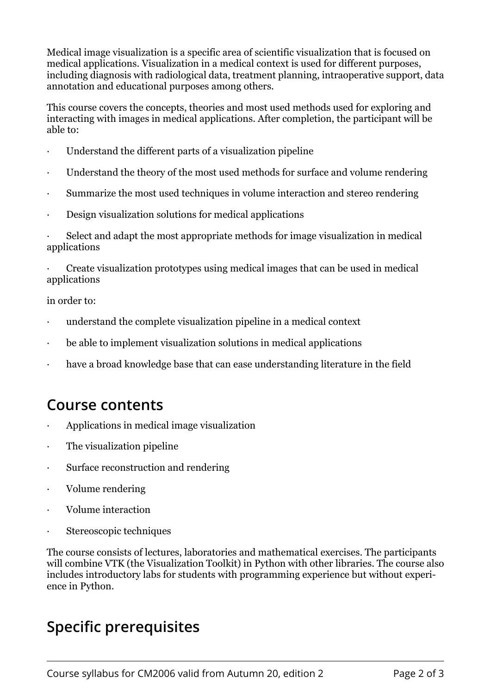Medical image visualization is a specific area of scientific visualization that is focused on medical applications. Visualization in a medical context is used for different purposes, including diagnosis with radiological data, treatment planning, intraoperative support, data annotation and educational purposes among others.

This course covers the concepts, theories and most used methods used for exploring and interacting with images in medical applications. After completion, the participant will be able to:

- Understand the different parts of a visualization pipeline
- Understand the theory of the most used methods for surface and volume rendering
- Summarize the most used techniques in volume interaction and stereo rendering
- Design visualization solutions for medical applications

Select and adapt the most appropriate methods for image visualization in medical applications

Create visualization prototypes using medical images that can be used in medical applications

in order to:

- understand the complete visualization pipeline in a medical context
- be able to implement visualization solutions in medical applications
- have a broad knowledge base that can ease understanding literature in the field

#### **Course contents**

- Applications in medical image visualization
- The visualization pipeline
- Surface reconstruction and rendering
- Volume rendering
- Volume interaction
- Stereoscopic techniques

The course consists of lectures, laboratories and mathematical exercises. The participants will combine VTK (the Visualization Toolkit) in Python with other libraries. The course also includes introductory labs for students with programming experience but without experience in Python.

## **Specific prerequisites**